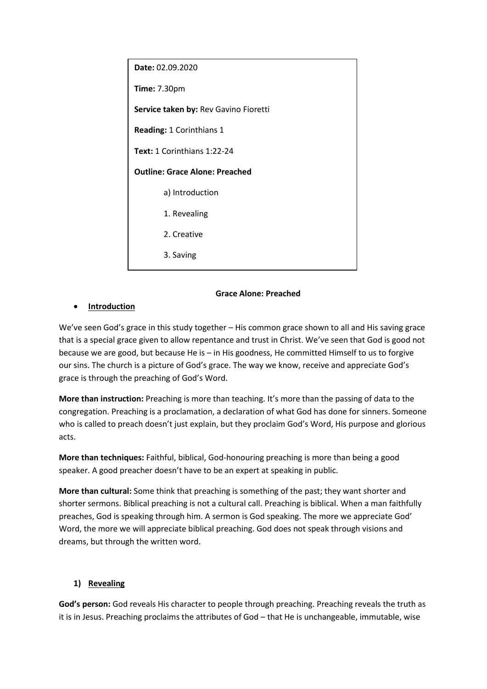| Date: 02.09.2020                      |
|---------------------------------------|
| <b>Time: 7.30pm</b>                   |
| Service taken by: Rev Gavino Fioretti |
| Reading: 1 Corinthians 1              |
| Text: 1 Corinthians 1:22-24           |
| <b>Outline: Grace Alone: Preached</b> |
| a) Introduction                       |
| 1. Revealing                          |
| 2. Creative                           |
| 3. Saving                             |

#### **Grace Alone: Preached**

### **•** Introduction

We've seen God's grace in this study together – His common grace shown to all and His saving grace that is a special grace given to allow repentance and trust in Christ. We've seen that God is good not because we are good, but because He is – in His goodness, He committed Himself to us to forgive our sins. The church is a picture of God's grace. The way we know, receive and appreciate God's grace is through the preaching of God's Word.

**More than instruction:** Preaching is more than teaching. It's more than the passing of data to the congregation. Preaching is a proclamation, a declaration of what God has done for sinners. Someone who is called to preach doesn't just explain, but they proclaim God's Word, His purpose and glorious acts.

**More than techniques:** Faithful, biblical, God-honouring preaching is more than being a good speaker. A good preacher doesn't have to be an expert at speaking in public.

**More than cultural:** Some think that preaching is something of the past; they want shorter and shorter sermons. Biblical preaching is not a cultural call. Preaching is biblical. When a man faithfully preaches, God is speaking through him. A sermon is God speaking. The more we appreciate God' Word, the more we will appreciate biblical preaching. God does not speak through visions and dreams, but through the written word.

#### **1) Revealing**

**God's person:** God reveals His character to people through preaching. Preaching reveals the truth as it is in Jesus. Preaching proclaims the attributes of God – that He is unchangeable, immutable, wise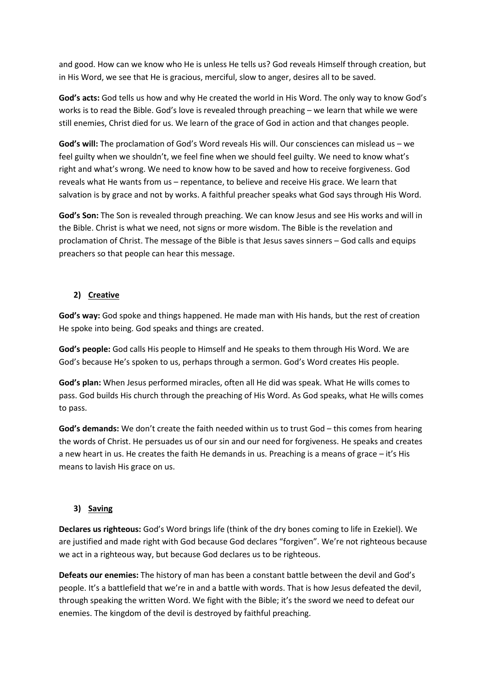and good. How can we know who He is unless He tells us? God reveals Himself through creation, but in His Word, we see that He is gracious, merciful, slow to anger, desires all to be saved.

**God's acts:** God tells us how and why He created the world in His Word. The only way to know God's works is to read the Bible. God's love is revealed through preaching – we learn that while we were still enemies, Christ died for us. We learn of the grace of God in action and that changes people.

**God's will:** The proclamation of God's Word reveals His will. Our consciences can mislead us – we feel guilty when we shouldn't, we feel fine when we should feel guilty. We need to know what's right and what's wrong. We need to know how to be saved and how to receive forgiveness. God reveals what He wants from us – repentance, to believe and receive His grace. We learn that salvation is by grace and not by works. A faithful preacher speaks what God says through His Word.

**God's Son:** The Son is revealed through preaching. We can know Jesus and see His works and will in the Bible. Christ is what we need, not signs or more wisdom. The Bible is the revelation and proclamation of Christ. The message of the Bible is that Jesus saves sinners – God calls and equips preachers so that people can hear this message.

## **2) Creative**

**God's way:** God spoke and things happened. He made man with His hands, but the rest of creation He spoke into being. God speaks and things are created.

**God's people:** God calls His people to Himself and He speaks to them through His Word. We are God's because He's spoken to us, perhaps through a sermon. God's Word creates His people.

**God's plan:** When Jesus performed miracles, often all He did was speak. What He wills comes to pass. God builds His church through the preaching of His Word. As God speaks, what He wills comes to pass.

**God's demands:** We don't create the faith needed within us to trust God – this comes from hearing the words of Christ. He persuades us of our sin and our need for forgiveness. He speaks and creates a new heart in us. He creates the faith He demands in us. Preaching is a means of grace – it's His means to lavish His grace on us.

# **3) Saving**

**Declares us righteous:** God's Word brings life (think of the dry bones coming to life in Ezekiel). We are justified and made right with God because God declares "forgiven". We're not righteous because we act in a righteous way, but because God declares us to be righteous.

**Defeats our enemies:** The history of man has been a constant battle between the devil and God's people. It's a battlefield that we're in and a battle with words. That is how Jesus defeated the devil, through speaking the written Word. We fight with the Bible; it's the sword we need to defeat our enemies. The kingdom of the devil is destroyed by faithful preaching.